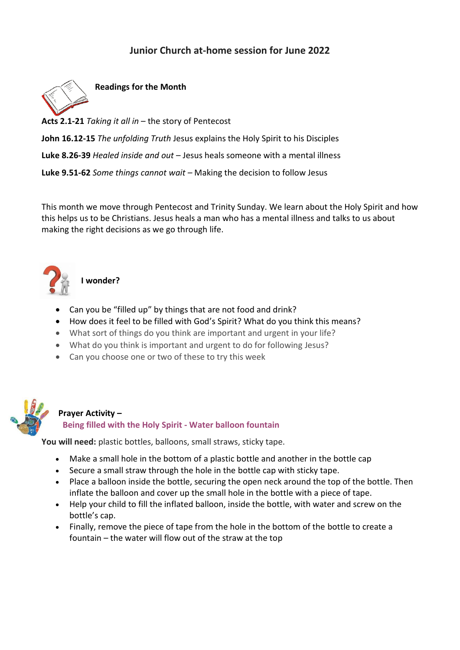## **Junior Church at-home session for June 2022**



**Readings for the Month**

**Acts 2.1-21** *Taking it all in* – the story of Pentecost

**John 16.12-15** *The unfolding Truth* Jesus explains the Holy Spirit to his Disciples

**Luke 8.26-39** *Healed inside and out* – Jesus heals someone with a mental illness

**Luke 9.51-62** *Some things cannot wait –* Making the decision to follow Jesus

This month we move through Pentecost and Trinity Sunday. We learn about the Holy Spirit and how this helps us to be Christians. Jesus heals a man who has a mental illness and talks to us about making the right decisions as we go through life.



**I wonder?**

- Can you be "filled up" by things that are not food and drink?
- How does it feel to be filled with God's Spirit? What do you think this means?
- What sort of things do you think are important and urgent in your life?
- What do you think is important and urgent to do for following Jesus?
- Can you choose one or two of these to try this week



## **Prayer Activity – Being filled with the Holy Spirit - Water balloon fountain**

**You will need:** plastic bottles, balloons, small straws, sticky tape.

- Make a small hole in the bottom of a plastic bottle and another in the bottle cap
- Secure a small straw through the hole in the bottle cap with sticky tape.
- Place a balloon inside the bottle, securing the open neck around the top of the bottle. Then inflate the balloon and cover up the small hole in the bottle with a piece of tape.
- Help your child to fill the inflated balloon, inside the bottle, with water and screw on the bottle's cap.
- Finally, remove the piece of tape from the hole in the bottom of the bottle to create a fountain – the water will flow out of the straw at the top